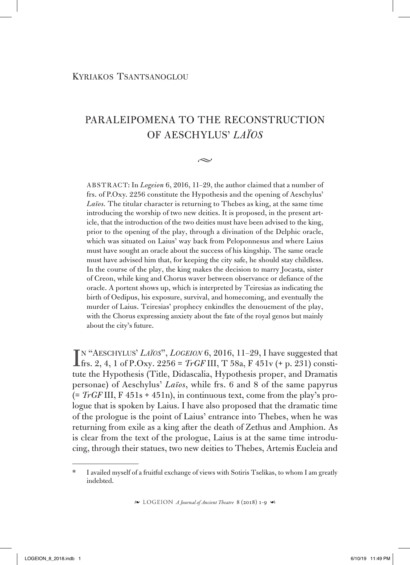## Paraleipomena to the Reconstruction of Aeschylus' *Laïos*

 $\sim$ 

ABSTRACT: In *Logeion* 6, 2016, 11–29, the author claimed that a number of frs. of P.Oxy. 2256 constitute the Hypothesis and the opening of Aeschylus' *Laïos.* The titular character is returning to Thebes as king, at the same time introducing the worship of two new deities. It is proposed, in the present article, that the introduction of the two deities must have been advised to the king, prior to the opening of the play, through a divination of the Delphic oracle, which was situated on Laius' way back from Peloponnesus and where Laius must have sought an oracle about the success of his kingship. The same oracle must have advised him that, for keeping the city safe, he should stay childless. In the course of the play, the king makes the decision to marry Jocasta, sister of Creon, while king and Chorus waver between observance or defiance of the oracle. A portent shows up, which is interpreted by Teiresias as indicating the birth of Oedipus, his exposure, survival, and homecoming, and eventually the murder of Laius. Teiresias' prophecy enkindles the denouement of the play, with the Chorus expressing anxiety about the fate of the royal genos but mainly about the city's future.

 $\prod_{r=1}^{N} \frac{A}{R}$  (AESCHYLUS' *LAÏOS*", *LOGEION* 6, 2016, 11–29, I have suggested that frs. 2, 4, 1 of P.Oxy. 2256 = *TrGF* III, T 58a, F 451v (+ p. 231) constitutional interval in  $\prod_{r=1}^{N} \prod_{r=1}^{N}$ n "Aeschylus' *Laïos*", *Logeion* 6, 2016, 11–29, I have suggested that tute the Hypothesis (Title, Didascalia, Hypothesis proper, and Dramatis personae) of Aeschylus' *Laïos*, while frs. 6 and 8 of the same papyrus  $(= TrGF III, F 451s + 451n)$ , in continuous text, come from the play's prologue that is spoken by Laius. I have also proposed that the dramatic time of the prologue is the point of Laius' entrance into Thebes, when he was returning from exile as a king after the death of Zethus and Amphion. As is clear from the text of the prologue, Laius is at the same time introducing, through their statues, two new deities to Thebes, Artemis Eucleia and

<sup>\*</sup> I availed myself of a fruitful exchange of views with Sotiris Tselikas, to whom I am greatly indebted.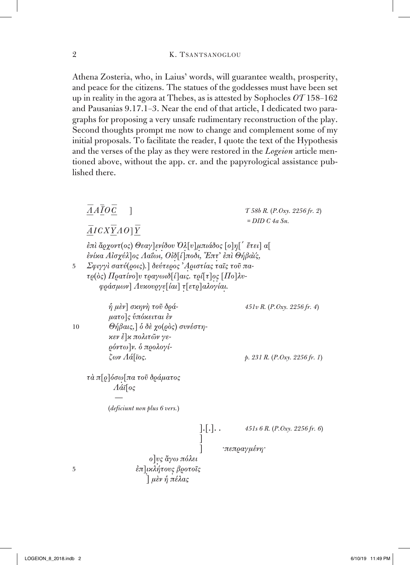Athena Zosteria, who, in Laius' words, will guarantee wealth, prosperity, and peace for the citizens. The statues of the goddesses must have been set up in reality in the agora at Thebes, as is attested by Sophocles *OT* 158–162 and Pausanias 9.17.1–3. Near the end of that article, I dedicated two paragraphs for proposing a very unsafe rudimentary reconstruction of the play. Second thoughts prompt me now to change and complement some of my initial proposals. To facilitate the reader, I quote the text of the Hypothesis and the verses of the play as they were restored in the *Logeion* article mentioned above, without the app. cr. and the papyrological assistance published there.

|    | $\overline{A}A\overline{I}O\overline{C}$ 1<br>$\overline{A}ICX\overline{Y}AO$ ] $\overline{Y}$                                                                                                                                                                          | $T$ 58b R. (P. Oxy. 2256 fr. 2)<br>$= DID C 4a Sn$ . |  |
|----|-------------------------------------------------------------------------------------------------------------------------------------------------------------------------------------------------------------------------------------------------------------------------|------------------------------------------------------|--|
| 5  | ἐπὶ ἄρχοντ(ος) Θεαγ]ενίδου Όλ[υ]μπιάδος [ο]η[΄ ἔτει] α[<br>ενίκα Αίσχύλ]ος Λαΐωι, Οίδ[ί]ποδι, "Επτ' επι Θήβαι'ς,<br>Σφιγγί σατύ(ροις).] δεύτερος 'Αριστίας ταῖς τοῦ πα-<br>τρ(δς) Πρατίνο] υ τραγωιδ[ί] αις. τρί[τ] ος [Πο]λυ-<br>φράσμων] Λυκουργε[ίαι] τ[ετρ]αλογίαι. |                                                      |  |
| 10 | ή μὲν] σκηνή τοῦ δρά-<br>ματο]ς υπόκειται έν<br>$\Theta$ ήβαις,] δ δὲ χο(ρὸς) συνέστη-<br>κεν έ]κ πολιτῶν γε-<br>ρόντω]ν. δ προλογί-                                                                                                                                    | 451v R. (P. Oxy. 2256 fr. 4)                         |  |
|    | $\zeta \omega \nu A \acute{a}$ [ioς.<br>τὰ π[ϱ]όσω[πα τοῦ δράματος<br>$A\acute{a}i\lceil o\varsigma$<br><i>(deficiunt non plus 6 vers.)</i>                                                                                                                             | p. 231 R. (P. Oxy. 2256 fr. 1)                       |  |
| 5  | $\left[\cdot\right[\cdot]\cdot\cdot$<br>ο νς ἄγω πόλει<br>έπ]ικλήτους βροτοΐς<br>μὲν ή πέλας                                                                                                                                                                            | 451s 6 R. (P. Oxy. 2256 fr. 6)<br>∵πεπραγμένη        |  |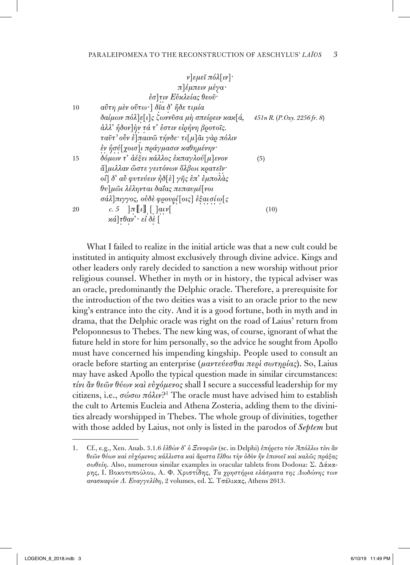|    | $\nu$ $\epsilon \mu \epsilon \tilde{\iota} \pi \acute{o} \lambda [\nu]$           |                                 |
|----|-----------------------------------------------------------------------------------|---------------------------------|
|    | π]έμπειν μέγα·                                                                    |                                 |
|    | έσ]τιν Εύκλείας θεοῦ·                                                             |                                 |
| 10 | $a$ ΰτη μὲν οὕτω · ] δῖα δ' ἤδε τιμία                                             |                                 |
|    | δαίμων πόλ]ε[ι]ς ζωννῦσα μὴ σπείρειν κακ[ά,                                       | $451nR$ , $(P. Oxy, 2256fr, 8)$ |
|    | άλλ' ήδον   ήν τά τ' έστιν είρήνη βροτοΐς.                                        |                                 |
|    | ταῦτ' οὖν ἐ]παινῶ τήνδε· τι[μ]ᾶι γὰρ πόλιν                                        |                                 |
|    | έν ήσύ[χοισ]ι πράγμασιν καθημένην·                                                |                                 |
| 15 | δόμων τ' ἀέξει κάλλος ἐκπαγλού[μ]ενον                                             | (5)                             |
|    | ά]μιλλαν ὥστε γειτόνων ὄλβωι κρατεῖν·                                             |                                 |
|    | οι] δ' αὖ φυτεύειν ήδ[ε] γῆς ἐπ' εμπολάς                                          |                                 |
|    | θυ]μωι λέληνται δαΐας πεπαυμέ[νοι                                                 |                                 |
|    | σάλ]πιγγος, ούδε φρουρί[οις] έξαι σίω[ς                                           |                                 |
| 20 | c. 5 $\lceil \pi \lceil \lfloor \ell \rceil \rfloor$ [ $\lceil \alpha \nu \rceil$ | (10)                            |
|    | $\alpha$ ά] τθαν' · εἰ δὲ [                                                       |                                 |
|    |                                                                                   |                                 |

What I failed to realize in the initial article was that a new cult could be instituted in antiquity almost exclusively through divine advice. Kings and other leaders only rarely decided to sanction a new worship without prior religious counsel. Whether in myth or in history, the typical adviser was an oracle, predominantly the Delphic oracle. Therefore, a prerequisite for the introduction of the two deities was a visit to an oracle prior to the new king's entrance into the city. And it is a good fortune, both in myth and in drama, that the Delphic oracle was right on the road of Laius' return from Peloponnesus to Thebes. The new king was, of course, ignorant of what the future held in store for him personally, so the advice he sought from Apollo must have concerned his impending kingship. People used to consult an oracle before starting an enterprise (*μαντεύεσθαι περὶ σωτηρίας*). So, Laius may have asked Apollo the typical question made in similar circumstances: *τίνι ἂν θεῶν θύων καὶ εὐχόμενος* shall I secure a successful leadership for my citizens, i.e., *σώσω πόλιν*?1 The oracle must have advised him to establish the cult to Artemis Eucleia and Athena Zosteria, adding them to the divinities already worshipped in Thebes. The whole group of divinities, together with those added by Laius, not only is listed in the parodos of *Septem* but

<sup>1.</sup> Cf., e.g., Xen. Anab. 3.1.6 *ἐλθὼν δ᾽ ὁ Ξενοφῶν* (sc. in Delphi) *ἐπήρετο τὸν Ἀπόλλω τίνι ἂν θεῶν θύων καὶ εὐχόμενος κάλλιστα καὶ ἄριστα ἔλθοι τὴν ὁδὸν ἣν ἐπινοεῖ καὶ καλῶς πράξας σωθείη*. Also, numerous similar examples in oracular tablets from Dodona: Σ. Δάκαρης, Ι. Βοκοτοπούλου, Α. Φ. Χριστίδης, *Τα χρηστήρια ελάσματα της Δωδώνης των ανασκαφών Δ. Ευαγγελίδη*, 2 volumes, ed. Σ. Τσέλικας, Athens 2013.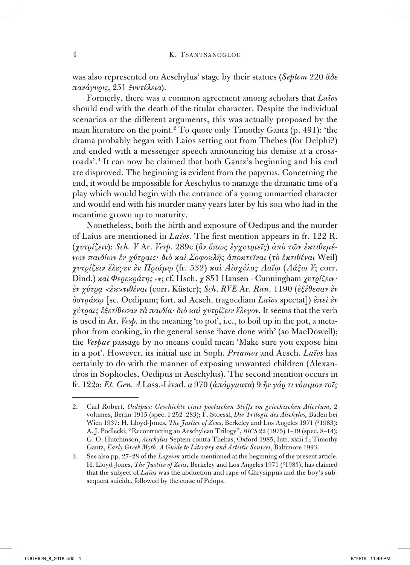was also represented on Aeschylus' stage by their statues (*Septem* 220 *ἅδε πανάγυρις*, 251 *ξυντέλεια*).

Formerly, there was a common agreement among scholars that *Laïos* should end with the death of the titular character. Despite the individual scenarios or the different arguments, this was actually proposed by the main literature on the point.<sup>2</sup> To quote only Timothy Gantz (p. 491): 'the drama probably began with Laios setting out from Thebes (for Delphi?) and ended with a messenger speech announcing his demise at a crossroads'.3 It can now be claimed that both Gantz's beginning and his end are disproved. The beginning is evident from the papyrus. Concerning the end, it would be impossible for Aeschylus to manage the dramatic time of a play which would begin with the entrance of a young unmarried character and would end with his murder many years later by his son who had in the meantime grown up to maturity.

Nonetheless, both the birth and exposure of Oedipus and the murder of Laius are mentioned in *Laïos*. The first mention appears in fr. 122 R. (*χυτρίζειν*): *Sch. V* Ar. *Vesp*. 289e (*ὃν ὅπως ἐγχυτριεῖς*) *ἀπὸ τῶν ἐκτιθεμένων παιδίων ἐν χύτραις· διὸ καὶ Σοφοκλῆς ἀποκτεῖναι* (*τὸ ἐκτιθέναι* Weil) *χυτρίζειν ἔλεγεν ἐν Πριάμῳ* (fr. 532) *καὶ Αἰσχύλος Λαΐῳ* (*Λάξω V*; corr. Dind.) *καὶ Φερεκράτης* \*\*; cf. Hsch. *χ* 851 Hansen - Cunningham *χυτρίζειν· ἐν χύτρᾳ <ἐκ>τιθέναι* (corr. Küster); *Sch*. *RVE* Ar. *Ran*. 1190 (*ἐξέθεσαν ἐν ὀστράκῳ* [sc. Oedipum; fort. ad Aesch. tragoediam *Laïos* spectat]) *ἐπεὶ ἐν χύτραις ἐξετίθεσαν τὰ παιδία· διὸ καὶ χυτρίζειν ἔλεγον*. It seems that the verb is used in Ar. *Vesp.* in the meaning 'to pot', i.e., to boil up in the pot, a metaphor from cooking, in the general sense 'have done with' (so MacDowell); the *Vespae* passage by no means could mean 'Make sure you expose him in a pot'. However, its initial use in Soph. *Priamos* and Aesch. *Laïos* has certainly to do with the manner of exposing unwanted children (Alexandros in Sophocles, Oedipus in Aeschylus). The second mention occurs in fr. 122a: *Et. Gen. A* Lass.-Livad. *α* 970 (*ἀπάργματα*) 9 *ἦν γάρ τι νόμιμον τοῖς* 

<sup>2.</sup> Carl Robert, *Oidipus: Geschichte eines poetischen Stoffs im griechischen Altertum,* 2 volumes, Berlin 1915 (spec. I 252–283); F. Stoessl, *Die Trilogie des Aischylos,* Baden bei Wien 1937; H. Lloyd-Jones, *The Justice of Zeus*, Berkeley and Los Angeles 1971 (²1983); A. J. Podlecki, "Recontructing an Aeschylean Trilogy", *BICS* 22 (1975) 1–19 (spec. 8–14); G. O. Hutchinson, *Aeschylus* Septem contra Thebas, Oxford 1985, Intr. xxiii f.; Timothy Gantz, *Early Greek Myth. A Guide to Literary and Artistic Sources*, Baltimore 1993.

<sup>3.</sup> See also pp. 27–28 of the *Logeion* article mentioned at the beginning of the present article. H. Lloyd-Jones, *The Justice of Zeus*, Berkeley and Los Angeles 1971 (²1983), has claimed that the subject of *Laïos* was the abduction and rape of Chrysippus and the boy's subsequent suicide, followed by the curse of Pelops.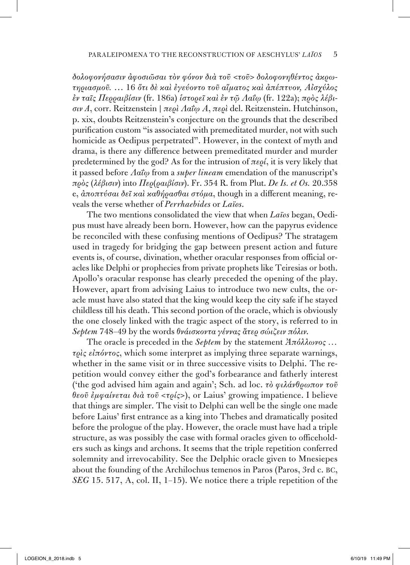*δολοφονήσασιν ἀφοσιῶσαι τὸν φόνον διὰ τοῦ <τοῦ> δολοφονηθέντος ἀκρωτηριασμοῦ.* … 16 *ὅτι δὲ καὶ ἐγεύοντο τοῦ αἵματος καὶ ἀπέπτυον, Αἰσχύλος ἐν ταῖς Περραιβίσιν* (fr. 186a) *ἱστορεῖ καὶ ἐν τῷ Λαΐῳ* (fr. 122a); *πρὸς λέβισιν A*, corr. Reitzenstein | *περὶ Λαΐῳ Α*, *περὶ* del. Reitzenstein. Hutchinson, p. xix, doubts Reitzenstein's conjecture on the grounds that the described purification custom "is associated with premeditated murder, not with such homicide as Oedipus perpetrated". However, in the context of myth and drama, is there any difference between premeditated murder and murder predetermined by the god? As for the intrusion of *περί*, it is very likely that it passed before *Λαΐῳ* from a *super lineam* emendation of the manuscript's *πρὸς* (*λέβισιν*) into *Περ*(*ραιβίσιν*). Fr. 354 R. from Plut. *De Is. et Os.* 20.358 e, *ἀποπτύσαι δεῖ καὶ καθήρασθαι στόμα*, though in a different meaning, reveals the verse whether of *Perrhaebides* or *Laïos*.

The two mentions consolidated the view that when *Laïos* began, Oedipus must have already been born. However, how can the papyrus evidence be reconciled with these confusing mentions of Oedipus? The stratagem used in tragedy for bridging the gap between present action and future events is, of course, divination, whether oracular responses from official oracles like Delphi or prophecies from private prophets like Teiresias or both. Apollo's oracular response has clearly preceded the opening of the play. However, apart from advising Laius to introduce two new cults, the oracle must have also stated that the king would keep the city safe if he stayed childless till his death. This second portion of the oracle, which is obviously the one closely linked with the tragic aspect of the story, is referred to in *Septem* 748–49 by the words *θνάισκοντα γέννας ἄτερ σώιζειν πόλιν*.

The oracle is preceded in the *Septem* by the statement *Ἀπόλλωνος … τρὶς εἰπόντος*, which some interpret as implying three separate warnings, whether in the same visit or in three successive visits to Delphi. The repetition would convey either the god's forbearance and fatherly interest ('the god advised him again and again'; Sch. ad loc. *τὸ φιλάνθρωπον τοῦ θεοῦ ἐμφαίνεται διὰ τοῦ* <*τρίς*>), or Laius' growing impatience. I believe that things are simpler. The visit to Delphi can well be the single one made before Laius' first entrance as a king into Thebes and dramatically posited before the prologue of the play. However, the oracle must have had a triple structure, as was possibly the case with formal oracles given to officeholders such as kings and archons. It seems that the triple repetition conferred solemnity and irrevocability. See the Delphic oracle given to Mnesiepes about the founding of the Archilochus temenos in Paros (Paros, 3rd c. bc, *SEG* 15. 517, A, col. II, 1–15). We notice there a triple repetition of the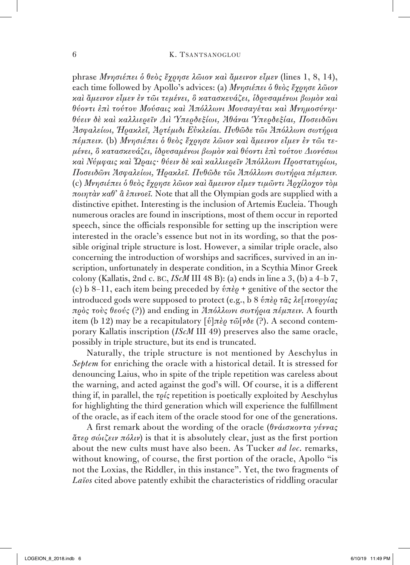phrase *Μνησιέπει ὁ θεὸς ἔχρησε λῶιον καὶ ἄμεινον εἶμεν* (lines 1, 8, 14), each time followed by Apollo's advices: (a) *Μνησιέπει ὁ θεὸς ἔχρησε λῶιον καὶ ἄμεινον εἶμεν ἐν τῶι τεμένει, ὃ κατασκευάζει, ἱδρυσαμένωι βωμὸν καὶ θύοντι ἐπὶ τούτου Μούσαις καὶ Ἀπόλλωνι Μουσαγέται καὶ Μνημοσύνηι· θύειν δὲ καὶ καλλιερεῖν Διὶ Ὑπερδεξίωι, Ἀθάναι Ὑπερδεξίαι, Ποσειδῶνι Ἀσφαλείωι, Ἡρακλεῖ, Ἀρτέμιδι Εὐκλείαι. Πυθῶδε τῶι Ἀπόλλωνι σωτήρια πέμπειν.* (b) *Μνησιέπει ὁ θεὸς ἔχρησε λῶιον καὶ ἄμεινον εἶμεν ἐν τῶι τεμένει, ὃ κατασκευάζει, ἱδρυσαμένωι βωμὸν καὶ θύοντι ἐπὶ τούτου Διονύσωι καὶ Νύμφαις καὶ Ὥραις· θύειν δὲ καὶ καλλιερεῖν Ἀπόλλωνι Προστατηρίωι, Ποσειδῶνι Ἀσφαλείωι, Ἡρακλεῖ. Πυθῶδε τῶι Ἀπόλλωνι σωτήρια πέμπειν.* (c) *Μνησιέπει ὁ θεὸς ἔχρησε λῶιον καὶ ἄμεινον εἶμεν τιμῶντι Ἀρχίλοχον τὸμ ποιητὰν καθ᾽ ἃ ἐπινοεῖ.* Note that all the Olympian gods are supplied with a distinctive epithet. Interesting is the inclusion of Artemis Eucleia. Though numerous oracles are found in inscriptions, most of them occur in reported speech, since the officials responsible for setting up the inscription were interested in the oracle's essence but not in its wording, so that the possible original triple structure is lost. However, a similar triple oracle, also concerning the introduction of worships and sacrifices, survived in an inscription, unfortunately in desperate condition, in a Scythia Minor Greek colony (Kallatis, 2nd c. bc, *IScM* III 48 B): (a) ends in line a 3, (b) a 4–b 7, (c) b 8–11, each item being preceded by *ὑπὲρ* + genitive of the sector the introduced gods were supposed to protect (e.g., b 8 *ὑπὲρ τᾶς λε*[*ιτουργίας πρὸς τοὺς θεούς* (?)) and ending in *Ἀπόλλωνι σωτήρια πέμπειν*. A fourth item (b 12) may be a recapitulatory [*ὑ*]*πὲρ τῶ*[*νδε* (?). A second contemporary Kallatis inscription (*IScM* III 49) preserves also the same oracle, possibly in triple structure, but its end is truncated.

Naturally, the triple structure is not mentioned by Aeschylus in *Septem* for enriching the oracle with a historical detail. It is stressed for denouncing Laius, who in spite of the triple repetition was careless about the warning, and acted against the god's will. Of course, it is a different thing if, in parallel, the *τρίς* repetition is poetically exploited by Aeschylus for highlighting the third generation which will experience the fulfillment of the oracle, as if each item of the oracle stood for one of the generations.

A first remark about the wording of the oracle (*θνάισκοντα γέννας ἄτερ σώιζειν πόλιν*) is that it is absolutely clear, just as the first portion about the new cults must have also been. As Tucker *ad loc*. remarks, without knowing, of course, the first portion of the oracle, Apollo "is not the Loxias, the Riddler, in this instance". Yet, the two fragments of *Laïos* cited above patently exhibit the characteristics of riddling oracular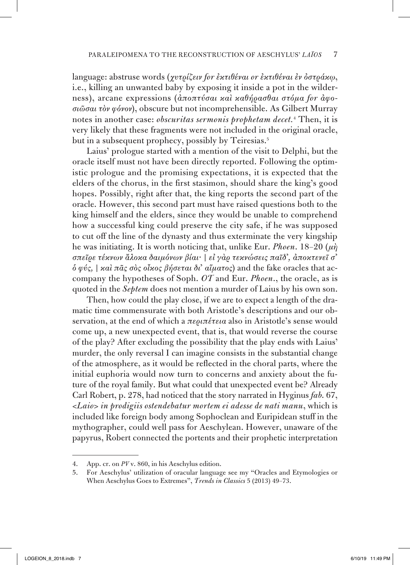language: abstruse words (*χυτρίζειν for ἐκτιθέναι or ἐκτιθέναι ἐν ὀστράκῳ*, i.e., killing an unwanted baby by exposing it inside a pot in the wilderness), arcane expressions (*ἀποπτύσαι καὶ καθήρασθαι στόμα for ἀφοσιῶσαι τὸν φόνον*), obscure but not incomprehensible. As Gilbert Murray notes in another case: *obscuritas sermonis prophetam decet.* <sup>4</sup> Then, it is very likely that these fragments were not included in the original oracle, but in a subsequent prophecy, possibly by Teiresias.<sup>5</sup>

Laius' prologue started with a mention of the visit to Delphi, but the oracle itself must not have been directly reported. Following the optimistic prologue and the promising expectations, it is expected that the elders of the chorus, in the first stasimon, should share the king's good hopes. Possibly, right after that, the king reports the second part of the oracle. However, this second part must have raised questions both to the king himself and the elders, since they would be unable to comprehend how a successful king could preserve the city safe, if he was supposed to cut off the line of the dynasty and thus exterminate the very kingship he was initiating. It is worth noticing that, unlike Eur. *Phoen*. 18–20 (*μὴ σπεῖρε τέκνων ἄλοκα δαιμόνων βίαι·* | *εἰ γὰρ τεκνώσεις παῖδ᾽, ἀποκτενεῖ σ᾽ ὁ φύς,* | *καὶ πᾶς σὸς οἶκος βήσεται δι᾽ αἵματος*) and the fake oracles that accompany the hypotheses of Soph. *OT* and Eur. *Phoen*., the oracle, as is quoted in the *Septem* does not mention a murder of Laius by his own son.

Then, how could the play close, if we are to expect a length of the dramatic time commensurate with both Aristotle's descriptions and our observation, at the end of which a *περιπέτεια* also in Aristotle's sense would come up, a new unexpected event, that is, that would reverse the course of the play? After excluding the possibility that the play ends with Laius' murder, the only reversal I can imagine consists in the substantial change of the atmosphere, as it would be reflected in the choral parts, where the initial euphoria would now turn to concerns and anxiety about the future of the royal family. But what could that unexpected event be? Already Carl Robert, p. 278, had noticed that the story narrated in Hyginus *fab*. 67, <*Laio*> *in prodigiis ostendebatur mortem ei adesse de nati manu*, which is included like foreign body among Sophoclean and Euripidean stuff in the mythographer, could well pass for Aeschylean. However, unaware of the papyrus, Robert connected the portents and their prophetic interpretation

<sup>4.</sup> App. cr. on *PV* v. 860, in his Aeschylus edition.

<sup>5.</sup> For Aeschylus' utilization of oracular language see my "Oracles and Etymologies or When Aeschylus Goes to Extremes", *Trends in Classics* 5 (2013) 49–73.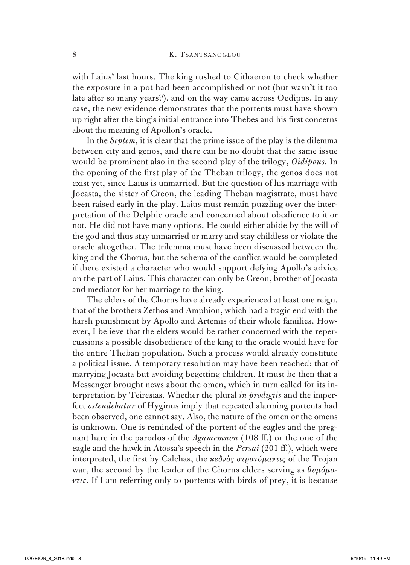with Laius' last hours. The king rushed to Cithaeron to check whether the exposure in a pot had been accomplished or not (but wasn't it too late after so many years?), and on the way came across Oedipus. In any case, the new evidence demonstrates that the portents must have shown up right after the king's initial entrance into Thebes and his first concerns about the meaning of Apollon's oracle.

In the *Septem*, it is clear that the prime issue of the play is the dilemma between city and genos, and there can be no doubt that the same issue would be prominent also in the second play of the trilogy, *Oidipous*. In the opening of the first play of the Theban trilogy, the genos does not exist yet, since Laius is unmarried. But the question of his marriage with Jocasta, the sister of Creon, the leading Theban magistrate, must have been raised early in the play. Laius must remain puzzling over the interpretation of the Delphic oracle and concerned about obedience to it or not. He did not have many options. He could either abide by the will of the god and thus stay unmarried or marry and stay childless or violate the oracle altogether. The trilemma must have been discussed between the king and the Chorus, but the schema of the conflict would be completed if there existed a character who would support defying Apollo's advice on the part of Laius. This character can only be Creon, brother of Jocasta and mediator for her marriage to the king.

The elders of the Chorus have already experienced at least one reign, that of the brothers Zethos and Amphion, which had a tragic end with the harsh punishment by Apollo and Artemis of their whole families. However, I believe that the elders would be rather concerned with the repercussions a possible disobedience of the king to the oracle would have for the entire Theban population. Such a process would already constitute a political issue. A temporary resolution may have been reached: that of marrying Jocasta but avoiding begetting children. It must be then that a Messenger brought news about the omen, which in turn called for its interpretation by Teiresias. Whether the plural *in prodigiis* and the imperfect *ostendebatur* of Hyginus imply that repeated alarming portents had been observed, one cannot say. Also, the nature of the omen or the omens is unknown. One is reminded of the portent of the eagles and the pregnant hare in the parodos of the *Agamemnon* (108 ff.) or the one of the eagle and the hawk in Atossa's speech in the *Persai* (201 ff.), which were interpreted, the first by Calchas, the *κεδνὸς στρατόμαντις* of the Trojan war, the second by the leader of the Chorus elders serving as *θυμόμαντις*. If I am referring only to portents with birds of prey, it is because